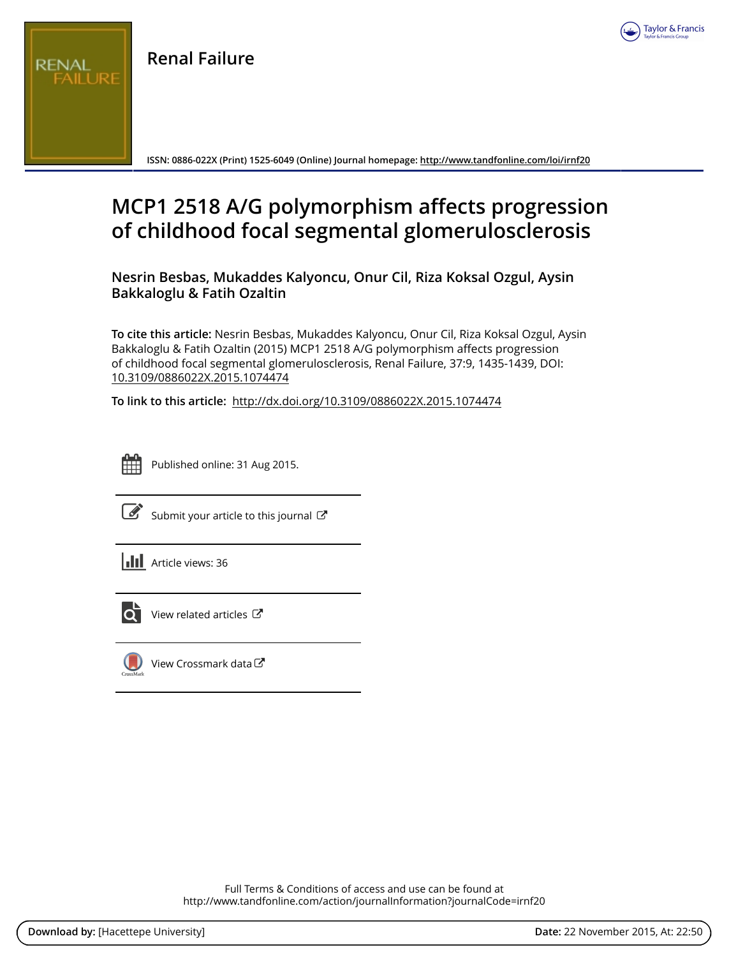

**Renal Failure**

REN

**ISSN: 0886-022X (Print) 1525-6049 (Online) Journal homepage: <http://www.tandfonline.com/loi/irnf20>**

## **MCP1 2518 A/G polymorphism affects progression of childhood focal segmental glomerulosclerosis**

**Nesrin Besbas, Mukaddes Kalyoncu, Onur Cil, Riza Koksal Ozgul, Aysin Bakkaloglu & Fatih Ozaltin**

**To cite this article:** Nesrin Besbas, Mukaddes Kalyoncu, Onur Cil, Riza Koksal Ozgul, Aysin Bakkaloglu & Fatih Ozaltin (2015) MCP1 2518 A/G polymorphism affects progression of childhood focal segmental glomerulosclerosis, Renal Failure, 37:9, 1435-1439, DOI: [10.3109/0886022X.2015.1074474](http://www.tandfonline.com/action/showCitFormats?doi=10.3109/0886022X.2015.1074474)

**To link to this article:** <http://dx.doi.org/10.3109/0886022X.2015.1074474>



Published online: 31 Aug 2015.



 $\overrightarrow{S}$  [Submit your article to this journal](http://www.tandfonline.com/action/authorSubmission?journalCode=irnf20&page=instructions)  $\overrightarrow{S}$ 





[View related articles](http://www.tandfonline.com/doi/mlt/10.3109/0886022X.2015.1074474) C



 $\bigcirc$  [View Crossmark data](http://crossmark.crossref.org/dialog/?doi=10.3109/0886022X.2015.1074474&domain=pdf&date_stamp=2015-08-31) $\mathbb{Z}$ 

Full Terms & Conditions of access and use can be found at <http://www.tandfonline.com/action/journalInformation?journalCode=irnf20>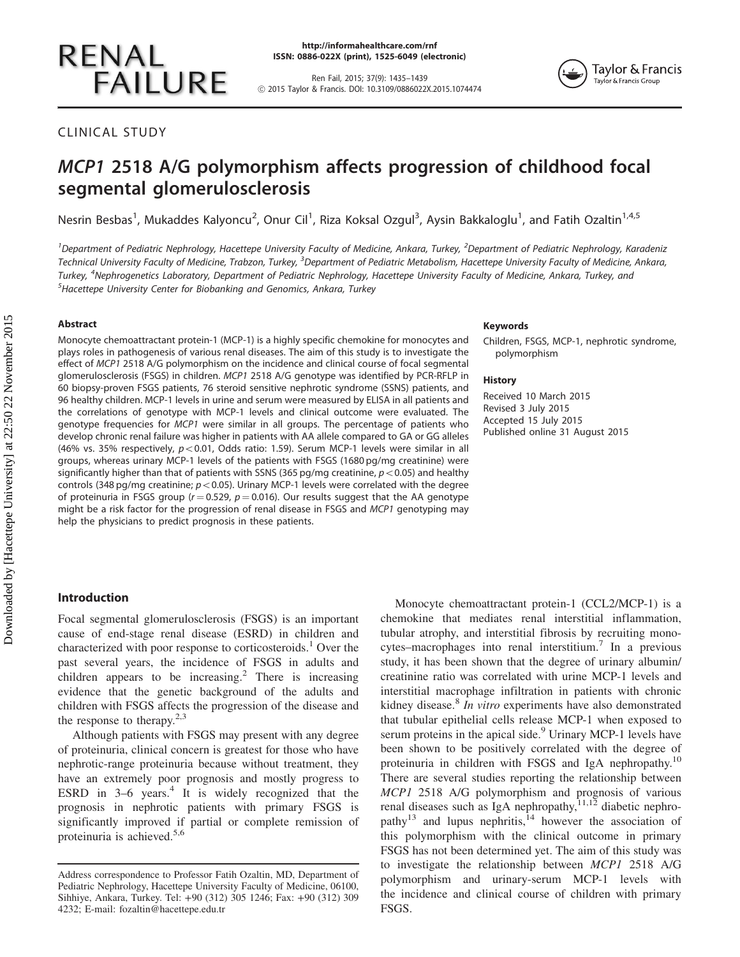# **RENAL FAILURE**

Ren Fail, 2015; 37(9): 1435–1439 ! 2015 Taylor & Francis. DOI: 10.3109/0886022X.2015.1074474



CLINICAL STUDY

### MCP1 2518 A/G polymorphism affects progression of childhood focal segmental glomerulosclerosis

Nesrin Besbas<sup>1</sup>, Mukaddes Kalyoncu<sup>2</sup>, Onur Cil<sup>1</sup>, Riza Koksal Ozgul<sup>3</sup>, Aysin Bakkaloglu<sup>1</sup>, and Fatih Ozaltin<sup>1,4,5</sup>

<sup>1</sup> Department of Pediatric Nephrology, Hacettepe University Faculty of Medicine, Ankara, Turkey, <sup>2</sup> Department of Pediatric Nephrology, Karadeniz Technical University Faculty of Medicine, Trabzon, Turkey, <sup>3</sup>Department of Pediatric Metabolism, Hacettepe University Faculty of Medicine, Ankara, Turkey, <sup>4</sup>Nephrogenetics Laboratory, Department of Pediatric Nephrology, Hacettepe University Faculty of Medicine, Ankara, Turkey, and  $^5$ Hacettepe University Center for Biobanking and Genomics, Ankara, Turkey

#### Abstract

Monocyte chemoattractant protein-1 (MCP-1) is a highly specific chemokine for monocytes and plays roles in pathogenesis of various renal diseases. The aim of this study is to investigate the effect of MCP1 2518 A/G polymorphism on the incidence and clinical course of focal segmental glomerulosclerosis (FSGS) in children. MCP1 2518 A/G genotype was identified by PCR-RFLP in 60 biopsy-proven FSGS patients, 76 steroid sensitive nephrotic syndrome (SSNS) patients, and 96 healthy children. MCP-1 levels in urine and serum were measured by ELISA in all patients and the correlations of genotype with MCP-1 levels and clinical outcome were evaluated. The genotype frequencies for MCP1 were similar in all groups. The percentage of patients who develop chronic renal failure was higher in patients with AA allele compared to GA or GG alleles (46% vs. 35% respectively,  $p < 0.01$ , Odds ratio: 1.59). Serum MCP-1 levels were similar in all groups, whereas urinary MCP-1 levels of the patients with FSGS (1680 pg/mg creatinine) were significantly higher than that of patients with SSNS (365 pg/mg creatinine,  $p<$  0.05) and healthy controls (348 pg/mg creatinine;  $p<0.05$ ). Urinary MCP-1 levels were correlated with the degree of proteinuria in FSGS group ( $r = 0.529$ ,  $p = 0.016$ ). Our results suggest that the AA genotype might be a risk factor for the progression of renal disease in FSGS and MCP1 genotyping may help the physicians to predict prognosis in these patients.

#### Keywords

Children, FSGS, MCP-1, nephrotic syndrome, polymorphism

#### **History**

Received 10 March 2015 Revised 3 July 2015 Accepted 15 July 2015 Published online 31 August 2015

#### Introduction

Focal segmental glomerulosclerosis (FSGS) is an important cause of end-stage renal disease (ESRD) in children and characterized with poor response to corticosteroids.<sup>[1](#page-4-0)</sup> Over the past several years, the incidence of FSGS in adults and children appears to be increasing.<sup>[2](#page-4-0)</sup> There is increasing evidence that the genetic background of the adults and children with FSGS affects the progression of the disease and the response to therapy.<sup>[2,3](#page-4-0)</sup>

Although patients with FSGS may present with any degree of proteinuria, clinical concern is greatest for those who have nephrotic-range proteinuria because without treatment, they have an extremely poor prognosis and mostly progress to ESRD in  $3-6$  years.<sup>[4](#page-4-0)</sup> It is widely recognized that the prognosis in nephrotic patients with primary FSGS is significantly improved if partial or complete remission of proteinuria is achieved.<sup>[5,6](#page-4-0)</sup>

Monocyte chemoattractant protein-1 (CCL2/MCP-1) is a chemokine that mediates renal interstitial inflammation, tubular atrophy, and interstitial fibrosis by recruiting mono-cytes–macrophages into renal interstitium.<sup>[7](#page-4-0)</sup> In a previous study, it has been shown that the degree of urinary albumin/ creatinine ratio was correlated with urine MCP-1 levels and interstitial macrophage infiltration in patients with chronic kidney disease.<sup>[8](#page-4-0)</sup> In vitro experiments have also demonstrated that tubular epithelial cells release MCP-1 when exposed to serum proteins in the apical side.<sup>[9](#page-4-0)</sup> Urinary MCP-1 levels have been shown to be positively correlated with the degree of proteinuria in children with FSGS and IgA nephropathy.<sup>[10](#page-4-0)</sup> There are several studies reporting the relationship between MCP1 2518 A/G polymorphism and prognosis of various renal diseases such as IgA nephropathy,  $11,12$  diabetic nephro-pathy<sup>[13](#page-4-0)</sup> and lupus nephritis,<sup>[14](#page-4-0)</sup> however the association of this polymorphism with the clinical outcome in primary FSGS has not been determined yet. The aim of this study was to investigate the relationship between MCP1 2518 A/G polymorphism and urinary-serum MCP-1 levels with the incidence and clinical course of children with primary FSGS.

Address correspondence to Professor Fatih Ozaltin, MD, Department of Pediatric Nephrology, Hacettepe University Faculty of Medicine, 06100, Sihhiye, Ankara, Turkey. Tel: +90 (312) 305 1246; Fax: +90 (312) 309 4232; E-mail: fozaltin@hacettepe.edu.tr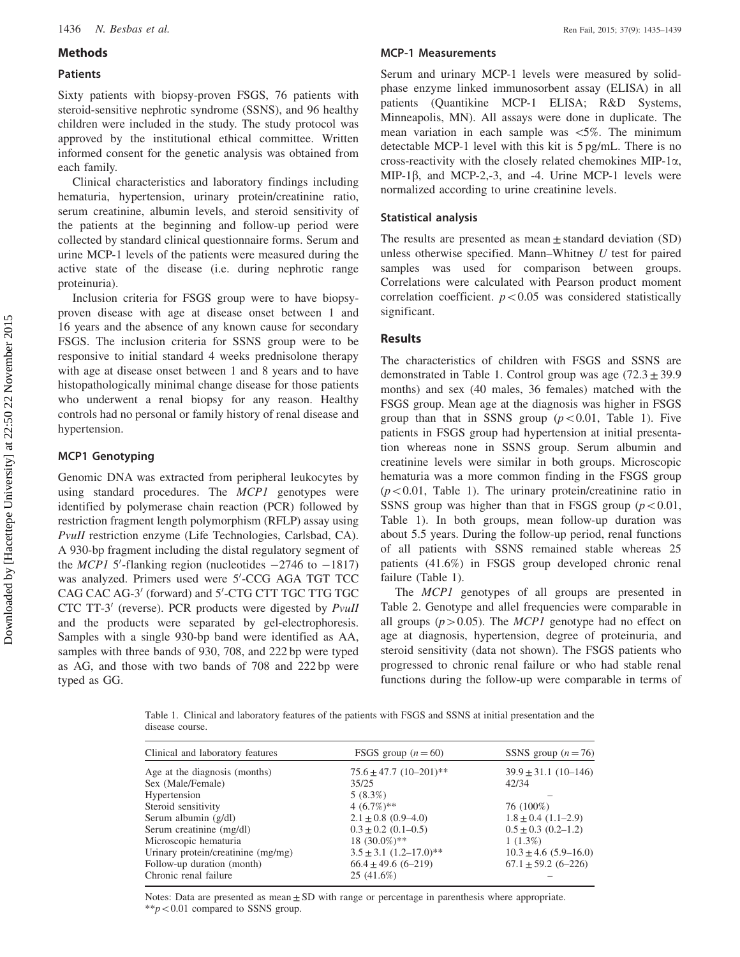#### Methods

#### Patients

Sixty patients with biopsy-proven FSGS, 76 patients with steroid-sensitive nephrotic syndrome (SSNS), and 96 healthy children were included in the study. The study protocol was approved by the institutional ethical committee. Written informed consent for the genetic analysis was obtained from each family.

Clinical characteristics and laboratory findings including hematuria, hypertension, urinary protein/creatinine ratio, serum creatinine, albumin levels, and steroid sensitivity of the patients at the beginning and follow-up period were collected by standard clinical questionnaire forms. Serum and urine MCP-1 levels of the patients were measured during the active state of the disease (i.e. during nephrotic range proteinuria).

Inclusion criteria for FSGS group were to have biopsyproven disease with age at disease onset between 1 and 16 years and the absence of any known cause for secondary FSGS. The inclusion criteria for SSNS group were to be responsive to initial standard 4 weeks prednisolone therapy with age at disease onset between 1 and 8 years and to have histopathologically minimal change disease for those patients who underwent a renal biopsy for any reason. Healthy controls had no personal or family history of renal disease and hypertension.

#### MCP1 Genotyping

Genomic DNA was extracted from peripheral leukocytes by using standard procedures. The MCP1 genotypes were identified by polymerase chain reaction (PCR) followed by restriction fragment length polymorphism (RFLP) assay using PvuII restriction enzyme (Life Technologies, Carlsbad, CA). A 930-bp fragment including the distal regulatory segment of the MCP1 5'-flanking region (nucleotides  $-2746$  to  $-1817$ ) was analyzed. Primers used were 5'-CCG AGA TGT TCC CAG CAC AG-3' (forward) and 5'-CTG CTT TGC TTG TGC CTC TT-3' (reverse). PCR products were digested by *PvuII* and the products were separated by gel-electrophoresis. Samples with a single 930-bp band were identified as AA, samples with three bands of 930, 708, and 222 bp were typed as AG, and those with two bands of 708 and 222 bp were typed as GG.

#### MCP-1 Measurements

Serum and urinary MCP-1 levels were measured by solidphase enzyme linked immunosorbent assay (ELISA) in all patients (Quantikine MCP-1 ELISA; R&D Systems, Minneapolis, MN). All assays were done in duplicate. The mean variation in each sample was  $\langle 5\% \rangle$ . The minimum detectable MCP-1 level with this kit is 5 pg/mL. There is no cross-reactivity with the closely related chemokines MIP-1 $\alpha$ , MIP-1 $\beta$ , and MCP-2,-3, and -4. Urine MCP-1 levels were normalized according to urine creatinine levels.

#### Statistical analysis

The results are presented as mean  $\pm$  standard deviation (SD) unless otherwise specified. Mann–Whitney U test for paired samples was used for comparison between groups. Correlations were calculated with Pearson product moment correlation coefficient.  $p<0.05$  was considered statistically significant.

#### Results

The characteristics of children with FSGS and SSNS are demonstrated in Table 1. Control group was age  $(72.3 \pm 39.9)$ months) and sex (40 males, 36 females) matched with the FSGS group. Mean age at the diagnosis was higher in FSGS group than that in SSNS group  $(p<0.01,$  Table 1). Five patients in FSGS group had hypertension at initial presentation whereas none in SSNS group. Serum albumin and creatinine levels were similar in both groups. Microscopic hematuria was a more common finding in the FSGS group  $(p<0.01$ , Table 1). The urinary protein/creatinine ratio in SSNS group was higher than that in FSGS group  $(p<0.01,$ Table 1). In both groups, mean follow-up duration was about 5.5 years. During the follow-up period, renal functions of all patients with SSNS remained stable whereas 25 patients (41.6%) in FSGS group developed chronic renal failure (Table 1).

The MCP1 genotypes of all groups are presented in [Table 2.](#page-3-0) Genotype and allel frequencies were comparable in all groups ( $p > 0.05$ ). The MCP1 genotype had no effect on age at diagnosis, hypertension, degree of proteinuria, and steroid sensitivity (data not shown). The FSGS patients who progressed to chronic renal failure or who had stable renal functions during the follow-up were comparable in terms of

Table 1. Clinical and laboratory features of the patients with FSGS and SSNS at initial presentation and the disease course.

| Clinical and laboratory features   | FSGS group $(n=60)$             | SSNS group $(n=76)$       |
|------------------------------------|---------------------------------|---------------------------|
|                                    |                                 |                           |
| Age at the diagnosis (months)      | $75.6 \pm 47.7$ $(10-201)$ **   | $39.9 \pm 31.1$ (10-146)  |
| Sex (Male/Female)                  | 35/25                           | 42/34                     |
| Hypertension                       | $5(8.3\%)$                      |                           |
| Steroid sensitivity                | 4 $(6.7\%)**$                   | 76 (100%)                 |
| Serum albumin (g/dl)               | $2.1 \pm 0.8$ (0.9–4.0)         | $1.8 \pm 0.4$ (1.1–2.9)   |
| Serum creatinine (mg/dl)           | $0.3 \pm 0.2$ (0.1–0.5)         | $0.5 \pm 0.3$ (0.2–1.2)   |
| Microscopic hematuria              | 18 (30.0%)**                    | $1(1.3\%)$                |
| Urinary protein/creatinine (mg/mg) | $3.5 \pm 3.1 (1.2 - 17.0)^{**}$ | $10.3 \pm 4.6$ (5.9–16.0) |
| Follow-up duration (month)         | $66.4 \pm 49.6$ (6-219)         | $67.1 \pm 59.2$ $(6-226)$ |
| Chronic renal failure              | 25(41.6%)                       |                           |

Notes: Data are presented as mean  $\pm$  SD with range or percentage in parenthesis where appropriate.  $*p<0.01$  compared to SSNS group.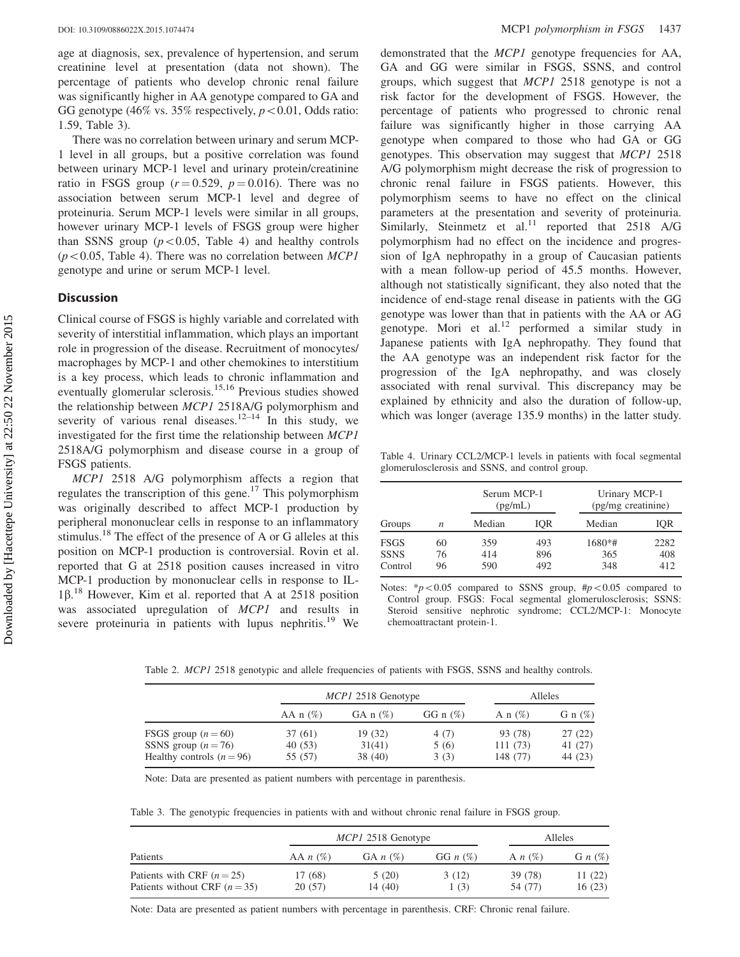<span id="page-3-0"></span>age at diagnosis, sex, prevalence of hypertension, and serum creatinine level at presentation (data not shown). The percentage of patients who develop chronic renal failure was significantly higher in AA genotype compared to GA and GG genotype (46% vs. 35% respectively,  $p < 0.01$ , Odds ratio: 1.59, Table 3).

There was no correlation between urinary and serum MCP-1 level in all groups, but a positive correlation was found between urinary MCP-1 level and urinary protein/creatinine ratio in FSGS group ( $r = 0.529$ ,  $p = 0.016$ ). There was no association between serum MCP-1 level and degree of proteinuria. Serum MCP-1 levels were similar in all groups, however urinary MCP-1 levels of FSGS group were higher than SSNS group  $(p<0.05,$  Table 4) and healthy controls  $(p<0.05$ , Table 4). There was no correlation between MCP1 genotype and urine or serum MCP-1 level.

#### **Discussion**

Clinical course of FSGS is highly variable and correlated with severity of interstitial inflammation, which plays an important role in progression of the disease. Recruitment of monocytes/ macrophages by MCP-1 and other chemokines to interstitium is a key process, which leads to chronic inflammation and eventually glomerular sclerosis.<sup>[15,16](#page-4-0)</sup> Previous studies showed the relationship between MCP1 2518A/G polymorphism and severity of various renal diseases.<sup>[12–14](#page-4-0)</sup> In this study, we investigated for the first time the relationship between MCP1 2518A/G polymorphism and disease course in a group of FSGS patients.

MCP1 2518 A/G polymorphism affects a region that regulates the transcription of this gene.<sup>17</sup> This polymorphism was originally described to affect MCP-1 production by peripheral mononuclear cells in response to an inflammatory stimulus.<sup>18</sup> The effect of the presence of A or G alleles at this position on MCP-1 production is controversial. Rovin et al. reported that G at 2518 position causes increased in vitro MCP-1 production by mononuclear cells in response to IL- $1\beta$ .<sup>[18](#page-4-0)</sup> However, Kim et al. reported that A at 2518 position was associated upregulation of MCP1 and results in severe proteinuria in patients with lupus nephritis.<sup>[19](#page-4-0)</sup> We

demonstrated that the *MCP1* genotype frequencies for AA, GA and GG were similar in FSGS, SSNS, and control groups, which suggest that MCP1 2518 genotype is not a risk factor for the development of FSGS. However, the percentage of patients who progressed to chronic renal failure was significantly higher in those carrying AA genotype when compared to those who had GA or GG genotypes. This observation may suggest that MCP1 2518 A/G polymorphism might decrease the risk of progression to chronic renal failure in FSGS patients. However, this polymorphism seems to have no effect on the clinical parameters at the presentation and severity of proteinuria. Similarly, Steinmetz et al.<sup>[11](#page-4-0)</sup> reported that  $2518$  A/G polymorphism had no effect on the incidence and progression of IgA nephropathy in a group of Caucasian patients with a mean follow-up period of 45.5 months. However, although not statistically significant, they also noted that the incidence of end-stage renal disease in patients with the GG genotype was lower than that in patients with the AA or AG genotype. Mori et al. $^{12}$  $^{12}$  $^{12}$  performed a similar study in Japanese patients with IgA nephropathy. They found that the AA genotype was an independent risk factor for the progression of the IgA nephropathy, and was closely associated with renal survival. This discrepancy may be explained by ethnicity and also the duration of follow-up, which was longer (average 135.9 months) in the latter study.

Table 4. Urinary CCL2/MCP-1 levels in patients with focal segmental glomerulosclerosis and SSNS, and control group.

|                                       |                  | Serum MCP-1<br>(pg/mL) |                   | Urinary MCP-1<br>(pg/mg creatinine) |                    |
|---------------------------------------|------------------|------------------------|-------------------|-------------------------------------|--------------------|
| Groups                                | $\boldsymbol{n}$ | Median                 | IOR               | Median                              | IOR                |
| <b>FSGS</b><br><b>SSNS</b><br>Control | 60<br>76<br>96   | 359<br>414<br>590      | 493<br>896<br>492 | $1680*$ #<br>365<br>348             | 2282<br>408<br>412 |

Notes:  $* p < 0.05$  compared to SSNS group,  $#p < 0.05$  compared to Control group. FSGS: Focal segmental glomerulosclerosis; SSNS: Steroid sensitive nephrotic syndrome; CCL2/MCP-1: Monocyte chemoattractant protein-1.

Table 2. *MCP1* 2518 genotypic and allele frequencies of patients with FSGS, SSNS and healthy controls.

| MCP1 2518 Genotype |                   |               | Alleles            |                              |
|--------------------|-------------------|---------------|--------------------|------------------------------|
| AA $n$ (%)         | GA $n$ $(\%)$     | GG n $(\%)$   | A n $(\%)$         | G n $(\%)$                   |
| 37(61)<br>40 (53)  | 19 (32)<br>31(41) | 4 (7)<br>5(6) | 93 (78)<br>111(73) | 27(22)<br>41 (27)<br>44 (23) |
|                    | 55 (57)           | 38 (40)       | 3(3)               | 148 (77)                     |

Note: Data are presented as patient numbers with percentage in parenthesis.

Table 3. The genotypic frequencies in patients with and without chronic renal failure in FSGS group.

| Patients                                                    | <i>MCP1</i> 2518 Genotype |                  |               | Alleles            |                  |
|-------------------------------------------------------------|---------------------------|------------------|---------------|--------------------|------------------|
|                                                             | AA $n$ $(\%)$             | GA $n$ $(\%)$    | GG $n$ $(\%)$ | A $n$ $(\%)$       | G $n(\%)$        |
| Patients with CRF $(n=25)$<br>Patients without CRF $(n=35)$ | 17 (68)<br>20(57)         | 5(20)<br>14 (40) | 3(12)<br>1(3) | 39 (78)<br>54 (77) | 11(22)<br>16(23) |

Note: Data are presented as patient numbers with percentage in parenthesis. CRF: Chronic renal failure.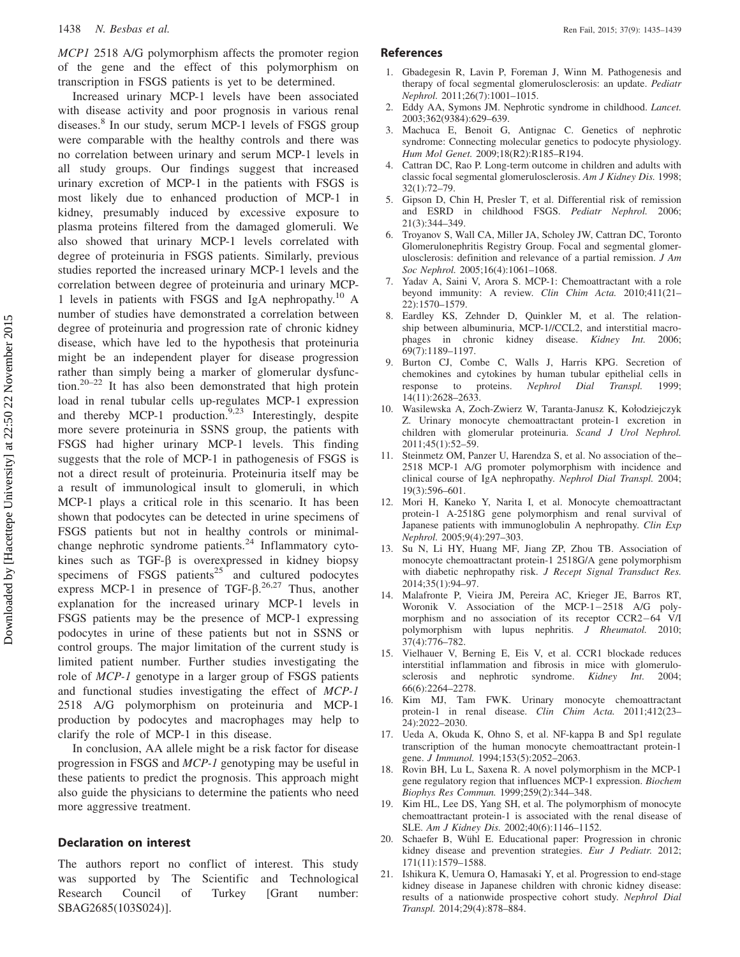#### <span id="page-4-0"></span>1438 N. Besbas et al. Ren Fail, 2015; 37(9): 1435–1439

MCP1 2518 A/G polymorphism affects the promoter region of the gene and the effect of this polymorphism on transcription in FSGS patients is yet to be determined.

Increased urinary MCP-1 levels have been associated with disease activity and poor prognosis in various renal diseases.<sup>8</sup> In our study, serum MCP-1 levels of FSGS group were comparable with the healthy controls and there was no correlation between urinary and serum MCP-1 levels in all study groups. Our findings suggest that increased urinary excretion of MCP-1 in the patients with FSGS is most likely due to enhanced production of MCP-1 in kidney, presumably induced by excessive exposure to plasma proteins filtered from the damaged glomeruli. We also showed that urinary MCP-1 levels correlated with degree of proteinuria in FSGS patients. Similarly, previous studies reported the increased urinary MCP-1 levels and the correlation between degree of proteinuria and urinary MCP-1 levels in patients with FSGS and IgA nephropathy.<sup>10</sup> A number of studies have demonstrated a correlation between degree of proteinuria and progression rate of chronic kidney disease, which have led to the hypothesis that proteinuria might be an independent player for disease progression rather than simply being a marker of glomerular dysfunction.<sup>20–22</sup> It has also been demonstrated that high protein load in renal tubular cells up-regulates MCP-1 expression and thereby MCP-1 production.<sup>9,[23](#page-5-0)</sup> Interestingly, despite more severe proteinuria in SSNS group, the patients with FSGS had higher urinary MCP-1 levels. This finding suggests that the role of MCP-1 in pathogenesis of FSGS is not a direct result of proteinuria. Proteinuria itself may be a result of immunological insult to glomeruli, in which MCP-1 plays a critical role in this scenario. It has been shown that podocytes can be detected in urine specimens of FSGS patients but not in healthy controls or minimalchange nephrotic syndrome patients. $^{24}$  $^{24}$  $^{24}$  Inflammatory cytokines such as TGF- $\beta$  is overexpressed in kidney biopsy specimens of FSGS patients<sup>[25](#page-5-0)</sup> and cultured podocytes express MCP-1 in presence of TGF- $\beta$ .<sup>[26](#page-5-0),[27](#page-5-0)</sup> Thus, another explanation for the increased urinary MCP-1 levels in FSGS patients may be the presence of MCP-1 expressing podocytes in urine of these patients but not in SSNS or control groups. The major limitation of the current study is limited patient number. Further studies investigating the role of MCP-1 genotype in a larger group of FSGS patients and functional studies investigating the effect of MCP-1 2518 A/G polymorphism on proteinuria and MCP-1 production by podocytes and macrophages may help to clarify the role of MCP-1 in this disease.

In conclusion, AA allele might be a risk factor for disease progression in FSGS and MCP-1 genotyping may be useful in these patients to predict the prognosis. This approach might also guide the physicians to determine the patients who need more aggressive treatment.

#### Declaration on interest

The authors report no conflict of interest. This study was supported by The Scientific and Technological Research Council of Turkey [Grant number: SBAG2685(103S024)].

#### References

- 1. Gbadegesin R, Lavin P, Foreman J, Winn M. Pathogenesis and therapy of focal segmental glomerulosclerosis: an update. Pediatr Nephrol. 2011;26(7):1001–1015.
- 2. Eddy AA, Symons JM. Nephrotic syndrome in childhood. Lancet. 2003;362(9384):629–639.
- 3. Machuca E, Benoit G, Antignac C. Genetics of nephrotic syndrome: Connecting molecular genetics to podocyte physiology. Hum Mol Genet. 2009;18(R2):R185–R194.
- 4. Cattran DC, Rao P. Long-term outcome in children and adults with classic focal segmental glomerulosclerosis. Am J Kidney Dis. 1998; 32(1):72–79.
- 5. Gipson D, Chin H, Presler T, et al. Differential risk of remission and ESRD in childhood FSGS. Pediatr Nephrol. 2006; 21(3):344–349.
- 6. Troyanov S, Wall CA, Miller JA, Scholey JW, Cattran DC, Toronto Glomerulonephritis Registry Group. Focal and segmental glomerulosclerosis: definition and relevance of a partial remission. J Am Soc Nephrol. 2005;16(4):1061–1068.
- 7. Yadav A, Saini V, Arora S. MCP-1: Chemoattractant with a role beyond immunity: A review. Clin Chim Acta. 2010;411(21– 22):1570–1579.
- 8. Eardley KS, Zehnder D, Quinkler M, et al. The relationship between albuminuria, MCP-1//CCL2, and interstitial macrophages in chronic kidney disease. Kidney Int. 2006; 69(7):1189–1197.
- 9. Burton CJ, Combe C, Walls J, Harris KPG. Secretion of chemokines and cytokines by human tubular epithelial cells in response to proteins. Nephrol Dial Transpl. 1999; 14(11):2628–2633.
- 10. Wasilewska A, Zoch-Zwierz W, Taranta-Janusz K, Kołodziejczyk Z. Urinary monocyte chemoattractant protein-1 excretion in children with glomerular proteinuria. Scand J Urol Nephrol. 2011;45(1):52–59.
- 11. Steinmetz OM, Panzer U, Harendza S, et al. No association of the– 2518 MCP-1 A/G promoter polymorphism with incidence and clinical course of IgA nephropathy. Nephrol Dial Transpl. 2004; 19(3):596–601.
- 12. Mori H, Kaneko Y, Narita I, et al. Monocyte chemoattractant protein-1 A-2518G gene polymorphism and renal survival of Japanese patients with immunoglobulin A nephropathy. Clin Exp Nephrol. 2005;9(4):297–303.
- 13. Su N, Li HY, Huang MF, Jiang ZP, Zhou TB. Association of monocyte chemoattractant protein-1 2518G/A gene polymorphism with diabetic nephropathy risk. J Recept Signal Transduct Res. 2014;35(1):94–97.
- 14. Malafronte P, Vieira JM, Pereira AC, Krieger JE, Barros RT, Woronik V. Association of the MCP-1-2518 A/G polymorphism and no association of its receptor CCR2-64 V/I polymorphism with lupus nephritis. J Rheumatol. 2010; 37(4):776–782.
- 15. Vielhauer V, Berning E, Eis V, et al. CCR1 blockade reduces interstitial inflammation and fibrosis in mice with glomerulosclerosis and nephrotic syndrome. Kidney Int. 2004; 66(6):2264–2278.
- 16. Kim MJ, Tam FWK. Urinary monocyte chemoattractant protein-1 in renal disease. Clin Chim Acta. 2011;412(23– 24):2022–2030.
- 17. Ueda A, Okuda K, Ohno S, et al. NF-kappa B and Sp1 regulate transcription of the human monocyte chemoattractant protein-1 gene. J Immunol. 1994;153(5):2052–2063.
- 18. Rovin BH, Lu L, Saxena R. A novel polymorphism in the MCP-1 gene regulatory region that influences MCP-1 expression. Biochem Biophys Res Commun. 1999;259(2):344–348.
- 19. Kim HL, Lee DS, Yang SH, et al. The polymorphism of monocyte chemoattractant protein-1 is associated with the renal disease of SLE. Am J Kidney Dis. 2002;40(6):1146–1152.
- 20. Schaefer B, Wühl E. Educational paper: Progression in chronic kidney disease and prevention strategies. Eur J Pediatr. 2012; 171(11):1579–1588.
- 21. Ishikura K, Uemura O, Hamasaki Y, et al. Progression to end-stage kidney disease in Japanese children with chronic kidney disease: results of a nationwide prospective cohort study. Nephrol Dial Transpl. 2014;29(4):878–884.